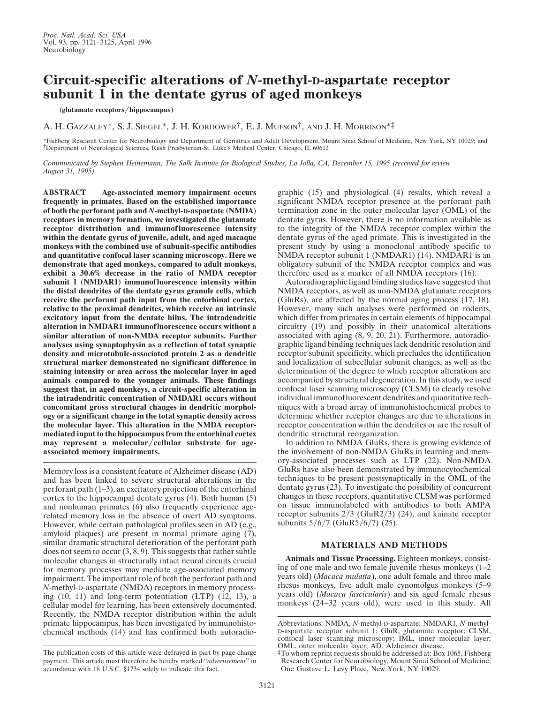## **Circuit-specific alterations of** *N***-methyl-D-aspartate receptor subunit 1 in the dentate gyrus of aged monkeys**

(glutamate receptors/hippocampus)

A. H. GAZZALEY\*, S. J. SIEGEL\*, J. H. KORDOWER†, E. J. MUFSON†, AND J. H. MORRISON\*‡

\*Fishberg Research Center for Neurobiology and Department of Geriatrics and Adult Development, Mount Sinai School of Medicine, New York, NY 10029; and †Department of Neurological Sciences, Rush Presbyterian-St. Luke's Medical Center, Chicago, IL 60612

*Communicated by Stephen Heinemann, The Salk Institute for Biological Studies, La Jolla, CA, December 15, 1995 (received for review August 31, 1995)*

**ABSTRACT Age-associated memory impairment occurs frequently in primates. Based on the established importance of both the perforant path and** *N***-methyl-D-aspartate (NMDA) receptors in memory formation, we investigated the glutamate receptor distribution and immunofluorescence intensity within the dentate gyrus of juvenile, adult, and aged macaque monkeys with the combined use of subunit-specific antibodies and quantitative confocal laser scanning microscopy. Here we demonstrate that aged monkeys, compared to adult monkeys, exhibit a 30.6% decrease in the ratio of NMDA receptor subunit 1 (NMDAR1) immunofluorescence intensity within the distal dendrites of the dentate gyrus granule cells, which receive the perforant path input from the entorhinal cortex, relative to the proximal dendrites, which receive an intrinsic excitatory input from the dentate hilus. The intradendritic alteration in NMDAR1 immunofluorescence occurs without a similar alteration of non-NMDA receptor subunits. Further analyses using synaptophysin as a reflection of total synaptic density and microtubule-associated protein 2 as a dendritic structural marker demonstrated no significant difference in staining intensity or area across the molecular layer in aged animals compared to the younger animals. These findings suggest that, in aged monkeys, a circuit-specific alteration in the intradendritic concentration of NMDAR1 occurs without concomitant gross structural changes in dendritic morphology or a significant change in the total synaptic density across the molecular layer. This alteration in the NMDA receptormediated input to the hippocampus from the entorhinal cortex** may represent a molecular/cellular substrate for age**associated memory impairments.**

Memory loss is a consistent feature of Alzheimer disease (AD) and has been linked to severe structural alterations in the perforant path (1–3), an excitatory projection of the entorhinal cortex to the hippocampal dentate gyrus (4). Both human (5) and nonhuman primates (6) also frequently experience agerelated memory loss in the absence of overt AD symptoms. However, while certain pathological profiles seen in AD (e.g., amyloid plaques) are present in normal primate aging (7), similar dramatic structural deterioration of the perforant path does not seem to occur (3, 8, 9). This suggests that rather subtle molecular changes in structurally intact neural circuits crucial for memory processes may mediate age-associated memory impairment. The important role of both the perforant path and *N*-methyl-D-aspartate (NMDA) receptors in memory processing (10, 11) and long-term potentiation (LTP) (12, 13), a cellular model for learning, has been extensively documented. Recently, the NMDA receptor distribution within the adult primate hippocampus, has been investigated by immunohistochemical methods (14) and has confirmed both autoradiographic (15) and physiological (4) results, which reveal a significant NMDA receptor presence at the perforant path termination zone in the outer molecular layer (OML) of the dentate gyrus. However, there is no information available as to the integrity of the NMDA receptor complex within the dentate gyrus of the aged primate. This is investigated in the present study by using a monoclonal antibody specific to NMDA receptor subunit 1 (NMDAR1) (14). NMDAR1 is an obligatory subunit of the NMDA receptor complex and was therefore used as a marker of all NMDA receptors (16).

Autoradiographic ligand binding studies have suggested that NMDA receptors, as well as non-NMDA glutamate receptors (GluRs), are affected by the normal aging process (17, 18). However, many such analyses were performed on rodents, which differ from primates in certain elements of hippocampal circuitry (19) and possibly in their anatomical alterations associated with aging (8, 9, 20, 21). Furthermore, autoradiographic ligand binding techniques lack dendritic resolution and receptor subunit specificity, which precludes the identification and localization of subcellular subunit changes, as well as the determination of the degree to which receptor alterations are accompanied by structural degeneration. In this study, we used confocal laser scanning microscopy (CLSM) to clearly resolve individual immunofluorescent dendrites and quantitative techniques with a broad array of immunohistochemical probes to determine whether receptor changes are due to alterations in receptor concentration within the dendrites or are the result of dendritic structural reorganization.

In addition to NMDA GluRs, there is growing evidence of the involvement of non-NMDA GluRs in learning and memory-associated processes such as LTP (22). Non-NMDA GluRs have also been demonstrated by immunocytochemical techniques to be present postsynaptically in the OML of the dentate gyrus (23). To investigate the possibility of concurrent changes in these receptors, quantitative CLSM was performed on tissue immunolabeled with antibodies to both AMPA receptor subunits  $2/3$  (GluR2/3) (24), and kainate receptor subunits  $5/6/7$  (GluR5/6/7) (25).

## **MATERIALS AND METHODS**

**Animals and Tissue Processing.** Eighteen monkeys, consisting of one male and two female juvenile rhesus monkeys (1–2 years old) (*Macaca mulatta*), one adult female and three male rhesus monkeys, five adult male cynomolgus monkeys (5–9 years old) (*Macaca fascicularis*) and six aged female rhesus monkeys (24–32 years old), were used in this study. All

The publication costs of this article were defrayed in part by page charge payment. This article must therefore be hereby marked ''*advertisement*'' in accordance with 18 U.S.C. §1734 solely to indicate this fact.

Abbreviations: NMDA, *N*-methyl-D-aspartate; NMDAR1, *N*-methyl-D-aspartate receptor subunit 1; GluR, glutamate receptor; CLSM, confocal laser scanning microscopy; IML, inner molecular layer; OML, outer molecular layer; AD, Alzheimer disease.

<sup>‡</sup>To whom reprint requests should be addressed at: Box 1065, Fishberg Research Center for Neurobiology, Mount Sinai School of Medicine, One Gustave L. Levy Place, New York, NY 10029.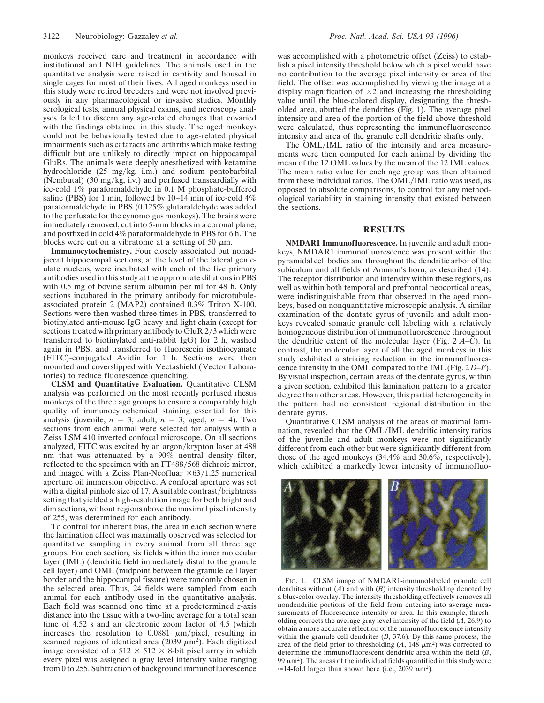monkeys received care and treatment in accordance with institutional and NIH guidelines. The animals used in the quantitative analysis were raised in captivity and housed in single cages for most of their lives. All aged monkeys used in this study were retired breeders and were not involved previously in any pharmacological or invasive studies. Monthly serological tests, annual physical exams, and necroscopy analyses failed to discern any age-related changes that covaried with the findings obtained in this study. The aged monkeys could not be behaviorally tested due to age-related physical impairments such as cataracts and arthritis which make testing difficult but are unlikely to directly impact on hippocampal GluRs. The animals were deeply anesthetized with ketamine hydrochloride  $(25 \text{ mg/kg}, \text{ i.m.})$  and sodium pentobarbital (Nembutal)  $(30 \text{ mg/kg}, i.v.)$  and perfused transcardially with ice-cold 1% paraformaldehyde in 0.1 M phosphate-buffered saline (PBS) for 1 min, followed by 10–14 min of ice-cold 4% paraformaldehyde in PBS (0.125% glutaraldehyde was added to the perfusate for the cynomolgus monkeys). The brains were immediately removed, cut into 5-mm blocks in a coronal plane, and postfixed in cold 4% paraformaldehyde in PBS for 6 h. The blocks were cut on a vibratome at a setting of 50  $\mu$ m.

**Immunocytochemistry.** Four closely associated but nonadjacent hippocampal sections, at the level of the lateral geniculate nucleus, were incubated with each of the five primary antibodies used in this study at the appropriate dilutions in PBS with 0.5 mg of bovine serum albumin per ml for 48 h. Only sections incubated in the primary antibody for microtubuleassociated protein 2 (MAP2) contained 0.3% Triton X-100. Sections were then washed three times in PBS, transferred to biotinylated anti-mouse IgG heavy and light chain (except for sections treated with primary antibody to GluR  $2/3$  which were transferred to biotinylated anti-rabbit IgG) for 2 h, washed again in PBS, and transferred to fluorescein isothiocyanate (FITC)-conjugated Avidin for 1 h. Sections were then mounted and coverslipped with Vectashield (Vector Laboratories) to reduce fluorescence quenching.

**CLSM and Quantitative Evaluation.** Quantitative CLSM analysis was performed on the most recently perfused rhesus monkeys of the three age groups to ensure a comparably high quality of immunocytochemical staining essential for this analysis (juvenile,  $n = 3$ ; adult,  $n = 3$ ; aged,  $n = 4$ ). Two sections from each animal were selected for analysis with a Zeiss LSM 410 inverted confocal microscope. On all sections analyzed, FITC was excited by an  $argon/$ krypton laser at  $488$ nm that was attenuated by a 90% neutral density filter, reflected to the specimen with an FT488/568 dichroic mirror, and imaged with a Zeiss Plan-Neofluar  $\times 63/1.25$  numerical aperture oil immersion objective. A confocal aperture was set with a digital pinhole size of 17. A suitable contrast/brightness setting that yielded a high-resolution image for both bright and dim sections, without regions above the maximal pixel intensity of 255, was determined for each antibody.

To control for inherent bias, the area in each section where the lamination effect was maximally observed was selected for quantitative sampling in every animal from all three age groups. For each section, six fields within the inner molecular layer (IML) (dendritic field immediately distal to the granule cell layer) and OML (midpoint between the granule cell layer border and the hippocampal fissure) were randomly chosen in the selected area. Thus, 24 fields were sampled from each animal for each antibody used in the quantitative analysis. Each field was scanned one time at a predetermined *z*-axis distance into the tissue with a two-line average for a total scan time of 4.52 s and an electronic zoom factor of 4.5 (which increases the resolution to  $0.0881 \mu m/pixel$ , resulting in scanned regions of identical area (2039  $\mu$ m<sup>2</sup>). Each digitized image consisted of a  $512 \times 512 \times 8$ -bit pixel array in which every pixel was assigned a gray level intensity value ranging from 0 to 255. Subtraction of background immunofluorescence was accomplished with a photometric offset (Zeiss) to establish a pixel intensity threshold below which a pixel would have no contribution to the average pixel intensity or area of the field. The offset was accomplished by viewing the image at a display magnification of  $\times 2$  and increasing the thresholding value until the blue-colored display, designating the thresholded area, abutted the dendrites (Fig. 1). The average pixel intensity and area of the portion of the field above threshold were calculated, thus representing the immunofluorescence intensity and area of the granule cell dendritic shafts only.

The OML/IML ratio of the intensity and area measurements were then computed for each animal by dividing the mean of the 12 OML values by the mean of the 12 IML values. The mean ratio value for each age group was then obtained from these individual ratios. The  $\overline{\text{OML}}$ /IML ratio was used, as opposed to absolute comparisons, to control for any methodological variability in staining intensity that existed between the sections.

## **RESULTS**

**NMDAR1 Immunofluorescence.** In juvenile and adult monkeys, NMDAR1 immunofluorescence was present within the pyramidal cell bodies and throughout the dendritic arbor of the subiculum and all fields of Ammon's horn, as described (14). The receptor distribution and intensity within these regions, as well as within both temporal and prefrontal neocortical areas, were indistinguishable from that observed in the aged monkeys, based on nonquantitative microscopic analysis. A similar examination of the dentate gyrus of juvenile and adult monkeys revealed somatic granule cell labeling with a relatively homogeneous distribution of immunofluorescence throughout the dendritic extent of the molecular layer (Fig. 2 *A–C*). In contrast, the molecular layer of all the aged monkeys in this study exhibited a striking reduction in the immunofluorescence intensity in the OML compared to the IML (Fig. 2 *D–F*). By visual inspection, certain areas of the dentate gyrus, within a given section, exhibited this lamination pattern to a greater degree than other areas. However, this partial heterogeneity in the pattern had no consistent regional distribution in the dentate gyrus.

Quantitative CLSM analysis of the areas of maximal lamination, revealed that the OML/IML dendritic intensity ratios of the juvenile and adult monkeys were not significantly different from each other but were significantly different from those of the aged monkeys (34.4% and 30.6%, respectively), which exhibited a markedly lower intensity of immunofluo-



FIG. 1. CLSM image of NMDAR1-immunolabeled granule cell dendrites without  $(A)$  and with  $(B)$  intensity thresholding denoted by a blue-color overlay. The intensity thresholding effectively removes all nondendritic portions of the field from entering into average measurements of fluorescence intensity or area. In this example, thresholding corrects the average gray level intensity of the field (*A*, 26.9) to obtain a more accurate reflection of the immunofluorescence intensity within the granule cell dendrites  $(B, 37.6)$ . By this same process, the area of the field prior to thresholding  $(A, 148 \mu m^2)$  was corrected to determine the immunofluorescent dendritic area within the field (*B*, 99  $\mu$ m<sup>2</sup>). The areas of the individual fields quantified in this study were  $\approx$ 14-fold larger than shown here (i.e., 2039  $\mu$ m<sup>2</sup>).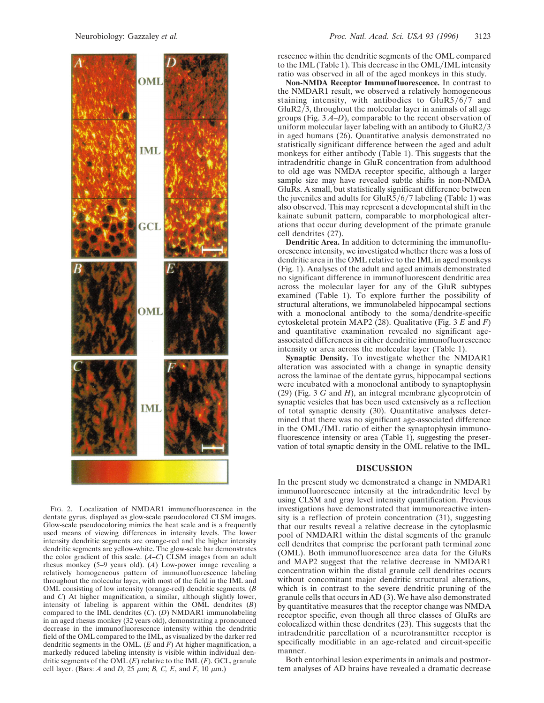

FIG. 2. Localization of NMDAR1 immunofluorescence in the dentate gyrus, displayed as glow-scale pseudocolored CLSM images. Glow-scale pseudocoloring mimics the heat scale and is a frequently used means of viewing differences in intensity levels. The lower intensity dendritic segments are orange-red and the higher intensity dendritic segments are yellow-white. The glow-scale bar demonstrates the color gradient of this scale. (*A–C*) CLSM images from an adult rhesus monkey (5–9 years old). (*A*) Low-power image revealing a relatively homogeneous pattern of immunofluorescence labeling throughout the molecular layer, with most of the field in the IML and OML consisting of low intensity (orange-red) dendritic segments. (*B* and *C*) At higher magnification, a similar, although slightly lower, intensity of labeling is apparent within the OML dendrites (*B*) compared to the IML dendrites (*C*). (*D*) NMDAR1 immunolabeling in an aged rhesus monkey (32 years old), demonstrating a pronounced decrease in the immunofluorescence intensity within the dendritic field of the OML compared to the IML, as visualized by the darker red dendritic segments in the OML. (*E* and *F*) At higher magnification, a markedly reduced labeling intensity is visible within individual dendritic segments of the OML (*E*) relative to the IML (*F*). GCL, granule cell layer. (Bars: *A* and *D*,  $25 \mu m$ ; *B*, *C*, *E*, and *F*,  $10 \mu m$ .)

rescence within the dendritic segments of the OML compared to the IML (Table 1). This decrease in the OML/IML intensity ratio was observed in all of the aged monkeys in this study.

**Non-NMDA Receptor Immunofluorescence.** In contrast to the NMDAR1 result, we observed a relatively homogeneous staining intensity, with antibodies to  $GluR5/6/7$  and  $GluR2/3$ , throughout the molecular layer in animals of all age groups (Fig. 3 *A–D*), comparable to the recent observation of uniform molecular layer labeling with an antibody to  $GluR2/3$ in aged humans (26). Quantitative analysis demonstrated no statistically significant difference between the aged and adult monkeys for either antibody (Table 1). This suggests that the intradendritic change in GluR concentration from adulthood to old age was NMDA receptor specific, although a larger sample size may have revealed subtle shifts in non-NMDA GluRs. A small, but statistically significant difference between the juveniles and adults for  $GluR5/6/7$  labeling (Table 1) was also observed. This may represent a developmental shift in the kainate subunit pattern, comparable to morphological alterations that occur during development of the primate granule cell dendrites (27).

**Dendritic Area.** In addition to determining the immunofluorescence intensity, we investigated whether there was a loss of dendritic area in the OML relative to the IML in aged monkeys (Fig. 1). Analyses of the adult and aged animals demonstrated no significant difference in immunofluorescent dendritic area across the molecular layer for any of the GluR subtypes examined (Table 1). To explore further the possibility of structural alterations, we immunolabeled hippocampal sections with a monoclonal antibody to the soma/dendrite-specific cytoskeletal protein MAP2 (28). Qualitative (Fig. 3 *E* and *F*) and quantitative examination revealed no significant ageassociated differences in either dendritic immunofluorescence intensity or area across the molecular layer (Table 1).

**Synaptic Density.** To investigate whether the NMDAR1 alteration was associated with a change in synaptic density across the laminae of the dentate gyrus, hippocampal sections were incubated with a monoclonal antibody to synaptophysin (29) (Fig. 3 *G* and *H*), an integral membrane glycoprotein of synaptic vesicles that has been used extensively as a reflection of total synaptic density (30). Quantitative analyses determined that there was no significant age-associated difference in the OML/IML ratio of either the synaptophysin immunofluorescence intensity or area (Table 1), suggesting the preservation of total synaptic density in the OML relative to the IML.

## **DISCUSSION**

In the present study we demonstrated a change in NMDAR1 immunofluorescence intensity at the intradendritic level by using CLSM and gray level intensity quantification. Previous investigations have demonstrated that immunoreactive intensity is a reflection of protein concentration (31), suggesting that our results reveal a relative decrease in the cytoplasmic pool of NMDAR1 within the distal segments of the granule cell dendrites that comprise the perforant path terminal zone (OML). Both immunofluorescence area data for the GluRs and MAP2 suggest that the relative decrease in NMDAR1 concentration within the distal granule cell dendrites occurs without concomitant major dendritic structural alterations, which is in contrast to the severe dendritic pruning of the granule cells that occurs in AD (3). We have also demonstrated by quantitative measures that the receptor change was NMDA receptor specific, even though all three classes of GluRs are colocalized within these dendrites (23). This suggests that the intradendritic parcellation of a neurotransmitter receptor is specifically modifiable in an age-related and circuit-specific manner.

Both entorhinal lesion experiments in animals and postmortem analyses of AD brains have revealed a dramatic decrease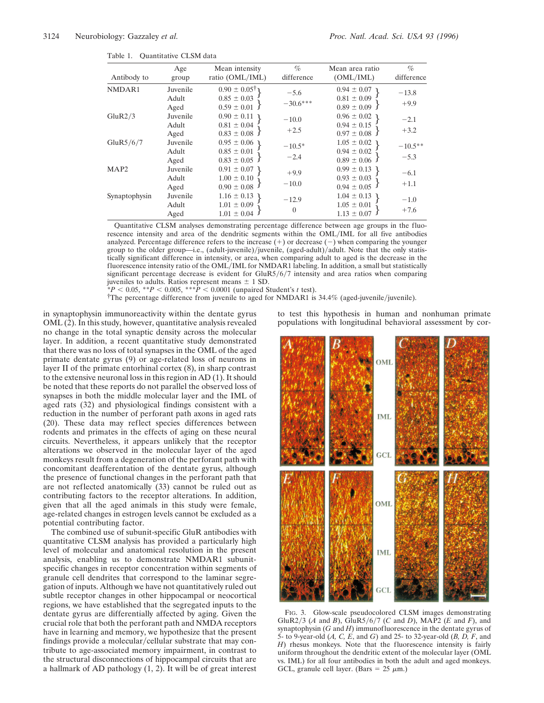|  | Table 1. Ouantitative CLSM data |  |
|--|---------------------------------|--|
|--|---------------------------------|--|

| Antibody to      | Age<br>group              | Mean intensity<br>ratio (OML/IML)                                 | $\%$<br>difference        | Mean area ratio<br>(OML/IML)                          | $\%$<br>difference  |
|------------------|---------------------------|-------------------------------------------------------------------|---------------------------|-------------------------------------------------------|---------------------|
| NMDAR1           | Juvenile<br>Adult<br>Aged | $0.90 \pm 0.05^{\dagger}$ ר<br>$0.85 \pm 0.03$<br>$0.59 \pm 0.01$ | $-5.6$<br>$-30.6***$      | $0.94 \pm 0.07$<br>$0.81 \pm 0.09$<br>$0.89 \pm 0.09$ | $-13.8$<br>$+9.9$   |
| GluR2/3          | Juvenile<br>Adult<br>Aged | $0.90 \pm 0.11$<br>$0.81 \pm 0.04$<br>$0.83 \pm 0.08$             | $-10.0$<br>$+2.5$         | $0.96 \pm 0.02$<br>$0.94 \pm 0.15$<br>$0.97 \pm 0.08$ | $-2.1$<br>$+3.2$    |
| GluR $5/6/7$     | Juvenile<br>Adult<br>Aged | $0.95 \pm 0.06$<br>$0.85 \pm 0.01$<br>$0.83 \pm 0.05$             | $-10.5*$<br>$-2.4$        | $1.05 \pm 0.02$<br>$0.94 \pm 0.02$<br>$0.89 \pm 0.06$ | $-10.5**$<br>$-5.3$ |
| MAP <sub>2</sub> | Juvenile<br>Adult<br>Aged | $0.91 \pm 0.07$<br>$1.00 \pm 0.10$<br>$0.90 \pm 0.08$             | $+9.9$<br>$-10.0$         | $0.99 \pm 0.13$<br>$0.93 \pm 0.03$<br>$0.94 \pm 0.05$ | $-6.1$<br>$+1.1$    |
| Synaptophysin    | Juvenile<br>Adult<br>Aged | $1.16 \pm 0.13$<br>$1.01 \pm 0.09$<br>$1.01 \pm 0.04$             | $-12.9$<br>$\overline{0}$ | $1.04 \pm 0.13$<br>$1.05 \pm 0.01$<br>$1.13 \pm 0.07$ | $-1.0$<br>$+7.6$    |

Quantitative CLSM analyses demonstrating percentage difference between age groups in the fluorescence intensity and area of the dendritic segments within the OML/IML for all five antibodies analyzed. Percentage difference refers to the increase  $(+)$  or decrease  $(-)$  when comparing the younger group to the older group—i.e., (adult-juvenile)/juvenile, (aged-adult)/adult. Note that the only statistically significant difference in intensity, or area, when comparing adult to aged is the decrease in the fluorescence intensity ratio of the OML/IML for NMDAR1 labeling. In addition, a small but statistically significant percentage decrease is evident for  $GluR5/6/7$  intensity and area ratios when comparing juveniles to adults. Ratios represent means  $\pm$  1 SD.

 $*P < 0.05$ ,  $*^*P < 0.005$ ,  $*^*P < 0.0001$  (unpaired Student's *t* test).

 $\text{†The percentage difference from juvenile to aged for NMDAR1 is } 34.4\% \text{ (aged-juvenile)/} \text{uvenile}.$ 

in synaptophysin immunoreactivity within the dentate gyrus OML (2). In this study, however, quantitative analysis revealed no change in the total synaptic density across the molecular layer. In addition, a recent quantitative study demonstrated that there was no loss of total synapses in the OML of the aged primate dentate gyrus (9) or age-related loss of neurons in layer II of the primate entorhinal cortex (8), in sharp contrast to the extensive neuronal loss in this region in AD (1). It should be noted that these reports do not parallel the observed loss of synapses in both the middle molecular layer and the IML of aged rats (32) and physiological findings consistent with a reduction in the number of perforant path axons in aged rats (20). These data may reflect species differences between rodents and primates in the effects of aging on these neural circuits. Nevertheless, it appears unlikely that the receptor alterations we observed in the molecular layer of the aged monkeys result from a degeneration of the perforant path with concomitant deafferentation of the dentate gyrus, although the presence of functional changes in the perforant path that are not reflected anatomically (33) cannot be ruled out as contributing factors to the receptor alterations. In addition, given that all the aged animals in this study were female, age-related changes in estrogen levels cannot be excluded as a potential contributing factor.

The combined use of subunit-specific GluR antibodies with quantitative CLSM analysis has provided a particularly high level of molecular and anatomical resolution in the present analysis, enabling us to demonstrate NMDAR1 subunitspecific changes in receptor concentration within segments of granule cell dendrites that correspond to the laminar segregation of inputs. Although we have not quantitatively ruled out subtle receptor changes in other hippocampal or neocortical regions, we have established that the segregated inputs to the dentate gyrus are differentially affected by aging. Given the crucial role that both the perforant path and NMDA receptors have in learning and memory, we hypothesize that the present findings provide a molecular/cellular substrate that may contribute to age-associated memory impairment, in contrast to the structural disconnections of hippocampal circuits that are a hallmark of AD pathology (1, 2). It will be of great interest to test this hypothesis in human and nonhuman primate populations with longitudinal behavioral assessment by cor-



FIG. 3. Glow-scale pseudocolored CLSM images demonstrating GluR2/3 (A and B), GluR5/6/7 (C and D), MAP2 (E and F), and synaptophysin (*G* and *H*) immunofluorescence in the dentate gyrus of 5- to 9-year-old (*A, C, E*, and *G*) and 25- to 32-year-old (*B, D, F*, and *H*) rhesus monkeys. Note that the fluorescence intensity is fairly uniform throughout the dendritic extent of the molecular layer (OML vs. IML) for all four antibodies in both the adult and aged monkeys. GCL, granule cell layer. (Bars =  $25 \mu m$ .)